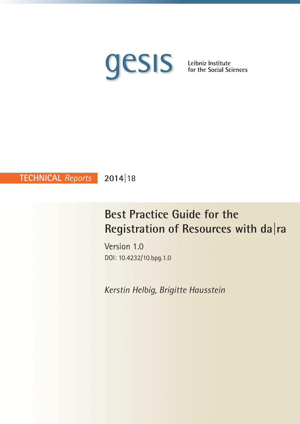

**2014|**18 **TECHNICAL** *Reports*

# **Best Practice Guide for the Registration of Resources with da|ra**

Version 1.0 DOI: 10.4232/10.bpg.1.0

*Kerstin Helbig, Brigitte Hausstein*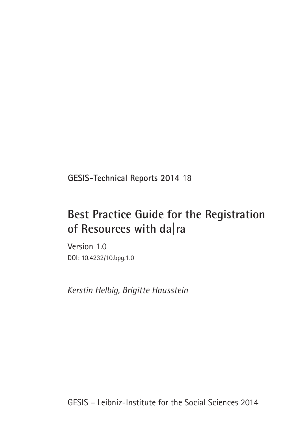**GESIS-Technical Reports 2014|**18

# **Best Practice Guide for the Registration of Resources with da|ra**

Version 1.0 DOI: 10.4232/10.bpg.1.0

*Kerstin Helbig, Brigitte Hausstein*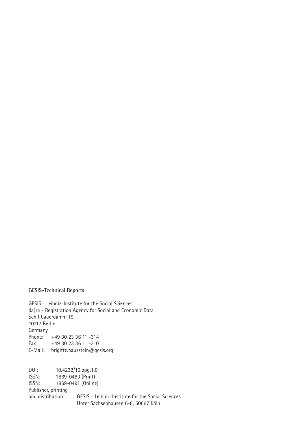### **GESIS-Technical Reports**

GESIS - Leibniz-Institute for the Social Sciences da|ra - Registration Agency for Social and Economic Data Schiffbauerdamm 19 10117 Berlin Germany Phone: +49 30 23 36 11 -314 Fax: +49 30 23 36 11 -310 E-Mail: brigitte.hausstein@gesis.org

DOI: 10.4232/10.bpg.1.0 ISSN: 1869-0483 (Print) ISSN: 1869-0491 (Online) Publisher, printing and distribution: GESIS - Leibniz-Institute for the Social Sciences Unter Sachsenhausen 6-8, 50667 Köln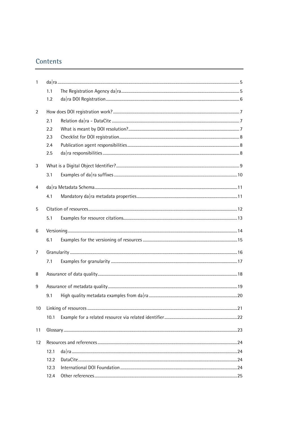# **Contents**

| $\mathbf{1}$ |      |  |  |  |  |
|--------------|------|--|--|--|--|
|              | 1.1  |  |  |  |  |
|              | 1.2  |  |  |  |  |
| 2            |      |  |  |  |  |
|              | 2.1  |  |  |  |  |
|              | 2.2  |  |  |  |  |
|              | 2.3  |  |  |  |  |
|              | 2.4  |  |  |  |  |
|              | 2.5  |  |  |  |  |
| 3            |      |  |  |  |  |
|              | 3.1  |  |  |  |  |
| 4            |      |  |  |  |  |
|              | 4.1  |  |  |  |  |
| 5            |      |  |  |  |  |
|              | 5.1  |  |  |  |  |
| 6            |      |  |  |  |  |
|              | 6.1  |  |  |  |  |
| 7            |      |  |  |  |  |
|              | 7.1  |  |  |  |  |
| 8            |      |  |  |  |  |
| 9            |      |  |  |  |  |
|              | 9.1  |  |  |  |  |
| 10           |      |  |  |  |  |
|              | 10.1 |  |  |  |  |
| 11           |      |  |  |  |  |
| 12           |      |  |  |  |  |
|              | 12.1 |  |  |  |  |
|              | 12.2 |  |  |  |  |
|              | 12.3 |  |  |  |  |
|              | 12.4 |  |  |  |  |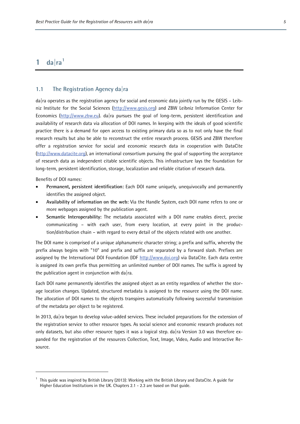# <span id="page-6-0"></span> $1$  **da** $|ra^1$

#### <span id="page-6-1"></span>**1.1 The Registration Agency da|ra**

da|ra operates as the registration agency for social and economic data jointly run by the GESIS – Leibniz Institute for the Social Sciences [\(http://www.gesis.org\)](http://www.gesis.org/) and ZBW Leibniz Information Center for Economics [\(http://www.zbw.eu\)](http://www.zbw.eu/). da|ra pursues the goal of long-term, persistent identification and availability of research data via allocation of DOI names. In keeping with the ideals of good scientific practice there is a demand for open access to existing primary data so as to not only have the final research results but also be able to reconstruct the entire research process. GESIS and ZBW therefore offer a registration service for social and economic research data in cooperation with DataCite [\(http://www.datacite.org\)](http://www.datacite.org/), an international consortium pursuing the goal of supporting the acceptance of research data as independent citable scientific objects. This infrastructure lays the foundation for long-term, persistent identification, storage, localization and reliable citation of research data.

Benefits of DOI names:

 $\overline{a}$ 

- **Permanent, persistent identification:** Each DOI name uniquely, unequivocally and permanently identifies the assigned object.
- **Availability of information on the web:** Via the Handle System, each DOI name refers to one or more webpages assigned by the publication agent.
- **Semantic Interoperability:** The metadata associated with a DOI name enables direct, precise communicating – with each user, from every location, at every point in the production/distribution chain – with regard to every detail of the objects related with one another.

The DOI name is comprised of a unique alphanumeric character string; a prefix and suffix, whereby the prefix always begins with "10" and prefix and suffix are separated by a forward slash. Prefixes are assigned by the International DOI Foundation (IDF [http://www.doi.org\)](http://www.doi.org/) via DataCite. Each data centre is assigned its own prefix thus permitting an unlimited number of DOI names. The suffix is agreed by the publication agent in conjunction with da  $ra$ .

Each DOI name permanently identifies the assigned object as an entity regardless of whether the storage location changes. Updated, structured metadata is assigned to the resource using the DOI name. The allocation of DOI names to the objects transpires automatically following successful transmission of the metadata per object to be registered.

In 2013, da|ra began to develop value-added services. These included preparations for the extension of the registration service to other resource types. As social science and economic research produces not only datasets, but also other resource types it was a logical step. da|ra Version 3.0 was therefore expanded for the registration of the resources Collection, Text, Image, Video, Audio and Interactive Resource.

<span id="page-6-2"></span><sup>1</sup> This guide was inspired by British Library (2013): Working with the British Library and DataCite. A guide for Higher Education Institutions in the UK. Chapters 2.1 - 2.3 are based on that guide.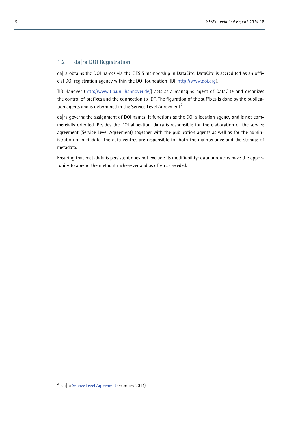#### <span id="page-7-0"></span>**1.2 da|ra DOI Registration**

da|ra obtains the DOI names via the GESIS membership in DataCite. DataCite is accredited as an official DOI registration agency within the DOI foundation (IDF [http://www.doi.org\)](http://www.doi.org/).

TIB Hanover [\(http://www.tib.uni-hannover.de/\)](http://www.tib.uni-hannover.de/) acts as a managing agent of DataCite and organizes the control of prefixes and the connection to IDF. The figuration of the suffixes is done by the publication agents and is determined in the Service Level Agreement $^2$  $^2$ .

da|ra governs the assignment of DOI names. It functions as the DOI allocation agency and is not commercially oriented. Besides the DOI allocation, da ra is responsible for the elaboration of the service agreement (Service Level Agreement) together with the publication agents as well as for the administration of metadata. The data centres are responsible for both the maintenance and the storage of metadata.

Ensuring that metadata is persistent does not exclude its modifiability: data producers have the opportunity to amend the metadata whenever and as often as needed.

<span id="page-7-1"></span><sup>&</sup>lt;sup>2</sup> da|ra [Service Level Agreement](http://www.da-ra.de/en/about-us/da-ra-policy/service-level-agreement/) (February 2014)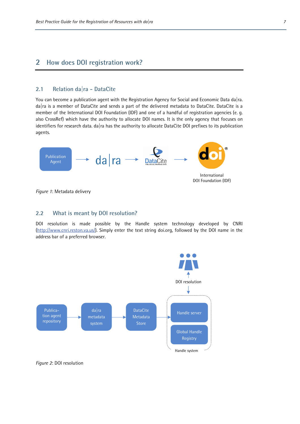### <span id="page-8-0"></span>**2 How does DOI registration work?**

#### <span id="page-8-1"></span>**2.1 Relation da|ra - DataCite**

You can become a publication agent with the Registration Agency for Social and Economic Data da ra. da|ra is a member of DataCite and sends a part of the delivered metadata to DataCite. DataCite is a member of the International DOI Foundation (IDF) and one of a handful of registration agencies (e. g. also CrossRef) which have the authority to allocate DOI names. It is the only agency that focuses on identifiers for research data. da|ra has the authority to allocate DataCite DOI prefixes to its publication agents.



<span id="page-8-2"></span>*Figure 1*: Metadata delivery

#### **2.2 What is meant by DOI resolution?**

DOI resolution is made possible by the Handle system technology developed by CNRI [\(http://www.cnri.reston.va.us/\)](http://www.cnri.reston.va.us/). Simply enter the text string doi.org, followed by the DOI name in the address bar of a preferred browser.



*Figure 2*: DOI resolution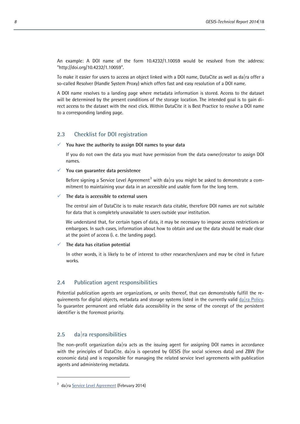An example: A DOI name of the form 10.4232/1.10059 would be resolved from the address: "http://doi.org/10.4232/1.10059".

To make it easier for users to access an object linked with a DOI name, DataCite as well as da|ra offer a so-called Resolver (Handle System Proxy) which offers fast and easy resolution of a DOI name.

A DOI name resolves to a landing page where metadata information is stored. Access to the dataset will be determined by the present conditions of the storage location. The intended goal is to gain direct access to the dataset with the next click. Within DataCite it is Best Practice to resolve a DOI name to a corresponding landing page.

#### <span id="page-9-0"></span>**2.3 Checklist for DOI registration**

#### **You have the authority to assign DOI names to your data**

If you do not own the data you must have permission from the data owner/creator to assign DOI names.

#### **You can guarantee data persistence**

Before signing a Service Level Agreement<sup>[3](#page-9-3)</sup> with da ra you might be asked to demonstrate a commitment to maintaining your data in an accessible and usable form for the long term.

#### **The data is accessible to external users**

The central aim of DataCite is to make research data citable, therefore DOI names are not suitable for data that is completely unavailable to users outside your institution.

We understand that, for certain types of data, it may be necessary to impose access restrictions or embargoes. In such cases, information about how to obtain and use the data should be made clear at the point of access (i. e. the landing page).

#### **The data has citation potential**

In other words, it is likely to be of interest to other researchers/users and may be cited in future works.

#### <span id="page-9-1"></span>**2.4 Publication agent responsibilities**

Potential publication agents are organizations, or units thereof, that can demonstrably fulfill the requirements for digital objects, metadata and storage systems listed in the currently valid da  $ra$  Policy. To guarantee permanent and reliable data accessibility in the sense of the concept of the persistent identifier is the foremost priority.

#### <span id="page-9-2"></span>**2.5 da|ra responsibilities**

The non-profit organization da|ra acts as the issuing agent for assigning DOI names in accordance with the principles of DataCite. da|ra is operated by GESIS (for social sciences data) and ZBW (for economic data) and is responsible for managing the related service level agreements with publication agents and administering metadata.

<span id="page-9-3"></span><sup>&</sup>lt;sup>3</sup> da|ra [Service Level Agreement](http://www.da-ra.de/en/about-us/da-ra-policy/service-level-agreement/) (February 2014)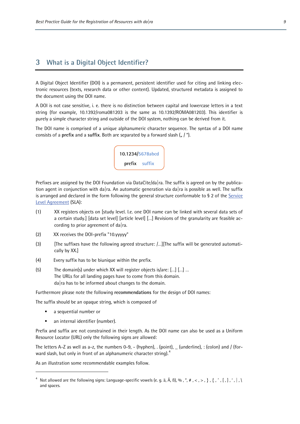## <span id="page-10-0"></span>**3 What is a Digital Object Identifier?**

A Digital Object Identifier (DOI) is a permanent, persistent identifier used for citing and linking electronic resources (texts, research data or other content). Updated, structured metadata is assigned to the document using the DOI name.

A DOI is not case sensitive, i. e. there is no distinction between capital and lowercase letters in a text string (for example, 10.1392/roma081203 is the same as 10.1392/ROMA081203). This identifier is purely a simple character string and outside of the DOI system, nothing can be derived from it.

The DOI name is comprised of a unique alphanumeric character sequence. The syntax of a DOI name consists of a **prefix** and a **suffix**. Both are separated by a forward slash ( $\binom{n}{m}$ ).



Prefixes are assigned by the DOI Foundation via DataCite/da|ra. The suffix is agreed on by the publication agent in conjunction with da|ra. An automatic generation via da|ra is possible as well. The suffix is arranged and declared in the form following the general structure conformable to § 2 of the Service [Level Agreement](http://www.da-ra.de/en/about-us/da-ra-policy/service-level-agreement/) (SLA):

- (1) XX registers objects on [study level. I.e. one DOI name can be linked with several data sets of a certain study.] [data set level] [article level] […] Revisions of the granularity are feasible according to prior agreement of da|ra.
- (2) XX receives the DOI-prefix "10.yyyyy"
- (3) [The suffixes have the following agreed structure: /…][The suffix will be generated automatically by XX.]
- (4) Every suffix has to be biunique within the prefix.
- (5) The domain(s) under which XX will register objects is/are: […] […] … The URLs for all landing pages have to come from this domain. da|ra has to be informed about changes to the domain.

Furthermore please note the following **recommendations** for the design of DOI names:

The suffix should be an opaque string, which is composed of

a sequential number or

 $\overline{a}$ 

**an internal identifier (number).** 

Prefix and suffix are not constrained in their length. As the DOI name can also be used as a Uniform Resource Locator (URL) only the following signs are allowed:

The letters A-Z as well as a-z, the numbers 0-9,  $-$  (hyphen), . (point),  $\_$  (underline), : (colon) and / (for-ward slash, but only in front of an alphanumeric character string).<sup>[4](#page-10-1)</sup>

As an illustration some recommendable examples follow.

<span id="page-10-1"></span><sup>&</sup>lt;sup>4</sup> Not allowed are the following signs: Language-specific vowels (e. g. ä, Ä, B), %, ", #, <, >, }, {, ^, [,],',|,\ and spaces.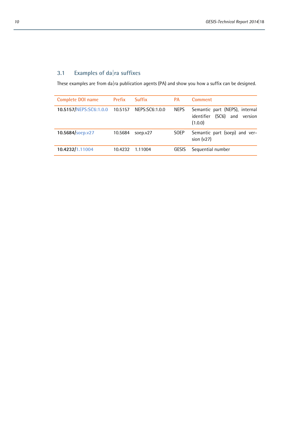# <span id="page-11-0"></span>**3.1 Examples of da|ra suffixes**

These examples are from da|ra publication agents (PA) and show you how a suffix can be designed.

| <b>Complete DOI name</b> | Prefix  | <b>Suffix</b>  | <b>PA</b>   | <b>Comment</b>                                                                  |
|--------------------------|---------|----------------|-------------|---------------------------------------------------------------------------------|
| 10.5157/NEPS:SC6:1.0.0   | 10.5157 | NEPS:SC6:1.0.0 | <b>NEPS</b> | Semantic part (NEPS), internal<br>(SC6) and<br>version<br>identifier<br>(1.0.0) |
| 10.5684/soep.v27         | 10.5684 | soep. $v27$    | <b>SOEP</b> | Semantic part (soep) and ver-<br>sion $(v27)$                                   |
| 10.4232/1.11004          | 10.4232 | 1.11004        | GESIS       | Sequential number                                                               |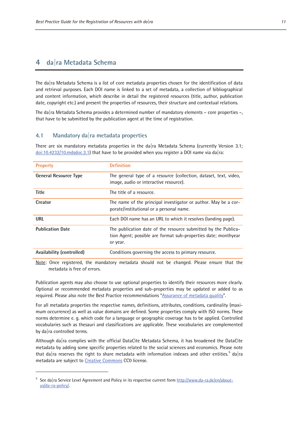### <span id="page-12-0"></span>**4 da|ra Metadata Schema**

The da|ra Metadata Schema is a list of core metadata properties chosen for the identification of data and retrieval purposes. Each DOI name is linked to a set of metadata, a collection of bibliographical and content information, which describe in detail the registered resources (title, author, publication date, copyright etc.) and present the properties of resources, their structure and contextual relations.

The da|ra Metadata Schema provides a determined number of mandatory elements – core properties –, that have to be submitted by the publication agent at the time of registration.

#### <span id="page-12-1"></span>**4.1 Mandatory da|ra metadata properties**

There are six mandatory metadata properties in the da|ra Metadata Schema (currently Version 3.1;  $doi:10.4232/10.$ mdsdoc.3.1) that have to be provided when you register a DOI name via dalra:

| <b>Property</b>              | <b>Definition</b>                                                                                                                            |
|------------------------------|----------------------------------------------------------------------------------------------------------------------------------------------|
| <b>General Resource Type</b> | The general type of a resource (collection, dataset, text, video,<br>image, audio or interactive resource).                                  |
| <b>Title</b>                 | The title of a resource.                                                                                                                     |
| Creator                      | The name of the principal investigator or author. May be a cor-<br>porate/institutional or a personal name.                                  |
| URL                          | Each DOI name has an URL to which it resolves (landing page).                                                                                |
| <b>Publication Date</b>      | The publication date of the resource submitted by the Publica-<br>tion Agent; possible are format sub-properties date; monthyear<br>or year. |
| Availability (controlled)    | Conditions governing the access to primary resource.                                                                                         |

Note: Once registered, the mandatory metadata should not be changed. Please ensure that the metadata is free of errors.

Publication agents may also choose to use optional properties to identify their resources more clearly. Optional or recommended metadata properties and sub-properties may be updated or added to as required. Please also note the Best Practice recommendations ["Assurance of metadata quality"](#page-20-0).

For all metadata properties the respective names, definitions, attributes, conditions, cardinality (maximum occurrence) as well as value domains are defined. Some properties comply with ISO norms. These norms determine e. g. which code for a language or geographic coverage has to be applied. Controlled vocabularies such as thesauri and classifications are applicable. These vocabularies are complemented by da|ra controlled terms.

Although da|ra complies with the official DataCite Metadata Schema, it has broadened the DataCite metadata by adding some specific properties related to the social sciences and economics. Please note that da|ra reserves the right to share metadata with information indexes and other entities.<sup>[5](#page-12-2)</sup> da|ra metadata are subject to [Creative Commons](https://creativecommons.org/) CC0 license.

 $\overline{a}$ 

<span id="page-12-2"></span><sup>&</sup>lt;sup>5</sup> See da|ra Service Level Agreement and Policy in its respective current form [http://www.da-ra.de/en/about](http://www.da-ra.de/en/about-us/da-ra-policy/)[us/da-ra-policy/.](http://www.da-ra.de/en/about-us/da-ra-policy/)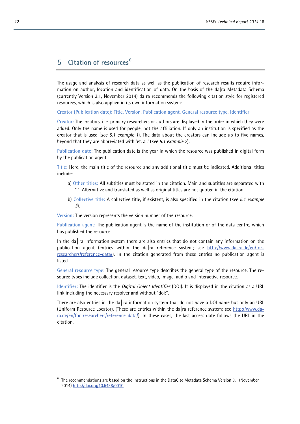# <span id="page-13-0"></span>**5 Citation of resources[6](#page-13-1)**

L

The usage and analysis of research data as well as the publication of research results require information on author, location and identification of data. On the basis of the da  $\vert$ ra Metadata Schema (currently Version 3.1, November 2014) da|ra recommends the following citation style for registered resources, which is also applied in its own information system:

**Creator (Publication date): Title. Version. Publication agent. General resource type. Identifier**

**Creator:** The creators, i. e. primary researchers or authors are displayed in the order in which they were added. Only the name is used for people, not the affiliation. If only an institution is specified as the creator that is used (*see 5.1 example 1*). The data about the creators can include up to five names, beyond that they are abbreviated with 'et. al.' (*see 5.1 example 2*).

**Publication date:** The publication date is the year in which the resource was published in digital form by the publication agent.

**Title:** Here, the main title of the resource and any additional title must be indicated. Additional titles include:

- a) **Other titles:** All subtitles must be stated in the citation. Main and subtitles are separated with ".". Alternative and translated as well as original titles are not quoted in the citation.
- b) **Collective title:** A collective title, if existent, is also specified in the citation (*see 5.1 example 3*).

**Version:** The version represents the version number of the resource.

**Publication agent:** The publication agent is the name of the institution or of the data centre, which has published the resource.

In the da ra information system there are also entries that do not contain any information on the publication agent (entries within the da|ra reference system; see [http://www.da-ra.de/en/for](http://www.da-ra.de/en/for-researchers/reference-data/)[researchers/reference-data/\)](http://www.da-ra.de/en/for-researchers/reference-data/). In the citation generated from these entries no publication agent is listed.

**General resource type:** The general resource type describes the general type of the resource. The resource types include collection, dataset, text, video, image, audio and interactive resource.

**Identifier:** The identifier is the *Digital Object Identifier* (DOI). It is displayed in the citation as a URL link including the necessary resolver and without "doi:".

There are also entries in the da ra information system that do not have a DOI name but only an URL (Uniform Resource Locator). (These are entries within the da|ra reference system; see [http://www.da](http://www.da-ra.de/en/for-researchers/reference-data/)[ra.de/en/for-researchers/reference-data/\)](http://www.da-ra.de/en/for-researchers/reference-data/). In these cases, the last access date follows the URL in the citation.

<span id="page-13-1"></span><sup>6</sup> The recommendations are based on the instructions in the [DataCite Metadata Schema](http://dx.doi.org/doi:10.5438/0005) Version 3.1 (November 2014) <http://doi.org/10.5438/0010>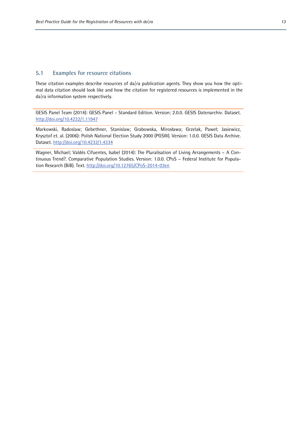#### <span id="page-14-0"></span>**5.1 Examples for resource citations**

These citation examples describe resources of da|ra publication agents. They show you how the optimal data citation should look like and how the citation for registered resources is implemented in the da|ra information system respectively.

GESIS Panel Team (2014): GESIS Panel - Standard Edition. Version: 2.0.0. GESIS Datenarchiv. Dataset. <http://doi.org/10.4232/1.11947>

Markowski, Radoslaw; Gebethner, Stanislaw; Grabowska, Mirosława; Grzelak, Paweł; Jasiewicz, Krysztof et. al. (2006): Polish National Election Study 2000 (PGSW). Version: 1.0.0. GESIS Data Archive. Dataset. <http://doi.org/10.4232/1.4334>

Wagner, Michael; Valdés Cifuentes, Isabel (2014): The Pluralisation of Living Arrangements – A Continuous Trend?. Comparative Population Studies. Version: 1.0.0. CPoS – Federal Institute for Population Research (BiB). Text.<http://doi.org/10.12765/CPoS-2014-03en>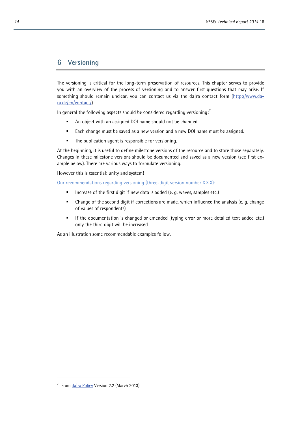# <span id="page-15-0"></span>**6 Versioning**

The versioning is critical for the long-term preservation of resources. This chapter serves to provide you with an overview of the process of versioning and to answer first questions that may arise. If something should remain unclear, you can contact us via the da  $ra$  contact form [\(http://www.da](http://www.da-ra.de/en/contact/)[ra.de/en/contact/\)](http://www.da-ra.de/en/contact/)

In general the following aspects should be considered regarding versioning: $^7$  $^7$ 

- An object with an assigned DOI name should not be changed.
- **Each change must be saved as a new version and a new DOI name must be assigned.**
- The publication agent is responsible for versioning.

At the beginning, it is useful to define milestone versions of the resource and to store those separately. Changes in these milestone versions should be documented and saved as a new version (see first example below). There are various ways to formulate versioning.

However this is essential: unity and system!

Our recommendations regarding versioning (three-digit version number X.X.X):

- Increase of the first digit if new data is added (e. g. waves, samples etc.)
- Change of the second digit if corrections are made, which influence the analysis (e. g. change of values of respondents)
- **If the documentation is changed or emended (typing error or more detailed text added etc.)** only the third digit will be increased

As an illustration some recommendable examples follow.

<span id="page-15-1"></span><sup>&</sup>lt;sup>7</sup> From  $\frac{d}{d}$  ra Policy Version 2.2 (March 2013)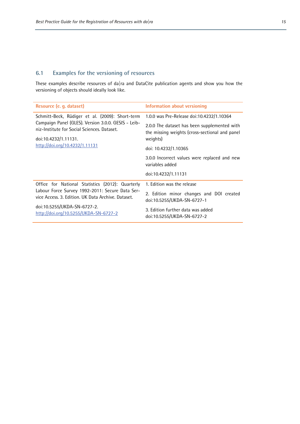# <span id="page-16-0"></span>**6.1 Examples for the versioning of resources**

These examples describe resources of da|ra and DataCite publication agents and show you how the versioning of objects should ideally look like.

| Resource (e. q. dataset)                                                                              | Information about versioning                                                                   |  |
|-------------------------------------------------------------------------------------------------------|------------------------------------------------------------------------------------------------|--|
| Schmitt-Beck, Rüdiger et al. (2009): Short-term                                                       | 1.0.0 was Pre-Release doi:10.4232/1.10364                                                      |  |
| Campaign Panel (GLES). Version 3.0.0. GESIS - Leib-<br>niz-Institute for Social Sciences. Dataset.    | 2.0.0 The dataset has been supplemented with<br>the missing weights (cross-sectional and panel |  |
| doi:10.4232/1.11131.                                                                                  | weights)                                                                                       |  |
| http://doi.org/10.4232/1.11131                                                                        | doi: 10.4232/1.10365                                                                           |  |
|                                                                                                       | 3.0.0 Incorrect values were replaced and new<br>variables added                                |  |
|                                                                                                       | doi:10.4232/1.11131                                                                            |  |
| Office for National Statistics (2012): Quarterly                                                      | 1. Edition was the release                                                                     |  |
| Labour Force Survey 1992-2011: Secure Data Ser-<br>vice Access, 3. Edition, UK Data Archive, Dataset. | 2. Edition minor changes and DOI created<br>doi:10.5255/UKDA-SN-6727-1                         |  |
| doi:10.5255/UKDA-SN-6727-2.<br>http://doi.org/10.5255/UKDA-SN-6727-2                                  | 3. Edition further data was added<br>doi:10.5255/UKDA-SN-6727-2                                |  |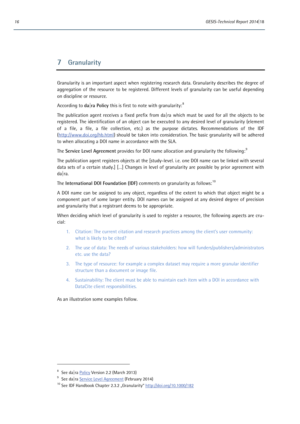# <span id="page-17-0"></span>**7 Granularity**

Granularity is an important aspect when registering research data. Granularity describes the degree of aggregation of the resource to be registered. Different levels of granularity can be useful depending on discipline or resource.

According to  $\mathsf{da}|\mathsf{ra}$  Policy this is first to note with granularity: $^8$  $^8$ 

The publication agent receives a fixed prefix from da  $|ra$  which must be used for all the objects to be registered. The identification of an object can be executed to any desired level of granularity (element of a file, a file, a file collection, etc.) as the purpose dictates. Recommendations of the IDF [\(http://www.doi.org/hb.html\)](http://www.doi.org/hb.html) should be taken into consideration. The basic granularity will be adhered to when allocating a DOI name in accordance with the SLA.

The **[Service Level Agreement](http://www.da-ra.de/en/about-us/da-ra-policy/service-level-agreement/)** provides for DOI name allocation and granularity the following: [9](#page-17-2)

The publication agent registers objects at the [study-level. i.e. one DOI name can be linked with several data sets of a certain study.] […] Changes in level of granularity are possible by prior agreement with da|ra.

The **[International DOI Foundation](http://www.doi.org/) (IDF)** comments on granularity as follows: [10](#page-17-3)

A DOI name can be assigned to any object, regardless of the extent to which that object might be a component part of some larger entity. DOI names can be assigned at any desired degree of precision and granularity that a registrant deems to be appropriate.

When deciding which level of granularity is used to register a resource, the following aspects are crucial:

- 1. Citation: The current citation and research practices among the client's user community: what is likely to be cited?
- 2. The use of data: The needs of various stakeholders: how will funders/publishers/administrators etc. use the data?
- 3. The type of resource: for example a complex dataset may require a more granular identifier structure than a document or image file.
- 4. Sustainability: The client must be able to maintain each item with a DOI in accordance with DataCite client responsibilities.

As an illustration some examples follow.

L

<span id="page-17-1"></span><sup>&</sup>lt;sup>8</sup> See da ra [Policy](http://www.da-ra.de/en/about-us/da-ra-policy/policy/) Version 2.2 (March 2013)

<span id="page-17-2"></span><sup>&</sup>lt;sup>9</sup> See da ra [Service Level Agreement](http://www.da-ra.de/en/about-us/da-ra-policy/service-level-agreement/) (February 2014)

<span id="page-17-3"></span><sup>&</sup>lt;sup>10</sup> See IDF Handbook Chapter 2.3.2 "Granularity[" http://doi.org/10.1000/182](http://doi.org/10.1000/182)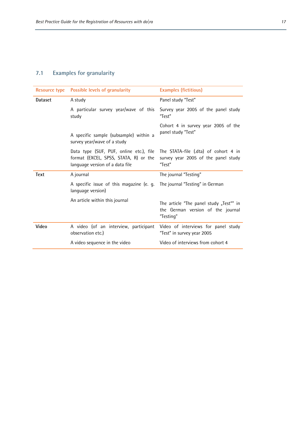# <span id="page-18-0"></span>**7.1 Examples for granularity**

| <b>Resource type</b> | Possible levels of granularity                                                                                      | <b>Examples (fictitious)</b>                                                              |
|----------------------|---------------------------------------------------------------------------------------------------------------------|-------------------------------------------------------------------------------------------|
| <b>Dataset</b>       | A study                                                                                                             | Panel study "Test"                                                                        |
|                      | A particular survey year/wave of this<br>study                                                                      | Survey year 2005 of the panel study<br>"Test"                                             |
|                      | A specific sample (subsample) within a<br>survey year/wave of a study                                               | Cohort 4 in survey year 2005 of the<br>panel study "Test"                                 |
|                      | Data type (SUF, PUF, online etc.), file<br>format (EXCEL, SPSS, STATA, R) or the<br>language version of a data file | The STATA-file (.dta) of cohort 4 in<br>survey year 2005 of the panel study<br>"Test"     |
| <b>Text</b>          | A journal                                                                                                           | The journal "Testing"                                                                     |
|                      | A specific issue of this magazine (e. g.<br>language version)                                                       | The journal "Testing" in German                                                           |
|                      | An article within this journal                                                                                      | The article "The panel study "Test"" in<br>the German version of the journal<br>"Testing" |
| Video                | A video (of an interview, participant<br>observation etc.)                                                          | Video of interviews for panel study<br>"Test" in survey year 2005                         |
|                      | A video sequence in the video                                                                                       | Video of interviews from cohort 4                                                         |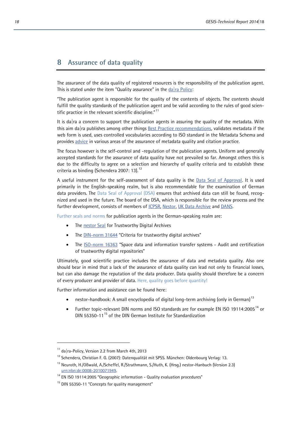# <span id="page-19-0"></span>**8 Assurance of data quality**

The assurance of the data quality of registered resources is the responsibility of the publication agent. This is stated under the item "Quality assurance" in the  $d\alpha$  ra Policy:

"The publication agent is responsible for the quality of the contents of objects. The contents should fulfill the quality standards of the publication agent and be valid according to the rules of good scientific practice in the relevant scientific discipline." $11$ 

It is da|ra a concern to support the publication agents in assuring the quality of the metadata. With this aim da  $|a|$  publishes among other things [Best Practice recommendations,](http://www.da-ra.de/en/about-us/da-ra-policy/best-practice/) validates metadata if the web form is used, uses controlled vocabularies according to ISO standard in the Metadata Schema and provides [advice](http://www.da-ra.de/en/contact/) in various areas of the assurance of metadata quality and citation practice.

The focus however is the self-control and -regulation of the publication agents. Uniform and generally accepted standards for the assurance of data quality have not prevailed so far. Amongst others this is due to the difficulty to agree on a selection and hierarchy of quality criteria and to establish these criteria as binding (Schendera 2007: 13).<sup>[12](#page-19-2)</sup>

A useful instrument for the self-assessment of data quality is the [Data Seal of Approval.](http://www.datasealofapproval.org/) It is used primarily in the English-speaking realm, but is also recommendable for the examination of German data providers. The Data Seal of Approval (DSA) ensures that archived data can still be found, recognized and used in the future. The board of the DSA, which is responsible for the review process and the further development, consists of members of *ICPSR*, *Nestor*, *UK Data Archive and DANS*.

Further seals and norms for publication agents in the German-speaking realm are:

- The [nestor Seal](http://www.langzeitarchivierung.de/Subsites/nestor/EN/nestor-Siegel/siegel_node.html;jsessionid=FDBB32A4EF49A54D27B5EFE01DE08C78.prod-worker2) for Trustworthy Digital Archives
- The [DIN-norm 31644](http://www.nabd.din.de/cmd?level=tpl-art-detailansicht&committeeid=54738855&artid=147058907&languageid=de&bcrumblevel=3) "Criteria for trustworthy digital archives"
- The [ISO-norm 16363](http://www.nl.din.de/cmd?artid=151263066&contextid=nl&bcrumblevel=1&subcommitteeid=75061959&level=tpl-art-detailansicht&committeeid=54739083&languageid=de) "Space data and information transfer systems Audit and certification of trustworthy digital repositories"

Ultimately, good scientific practice includes the assurance of data and metadata quality. Also one should bear in mind that a lack of the assurance of data quality can lead not only to financial losses, but can also damage the reputation of the data producer. Data quality should therefore be a concern of every producer and provider of data. Here, quality goes before quantity!

Further information and assistance can be found here:

- nestor-handbook: A small encyclopedia of digital long-term archiving (only in German)<sup>[13](#page-19-3)</sup>
- Further topic-relevant DIN norms and ISO standards are for example EN ISO 191[14](#page-19-4):2005<sup>14</sup> or DIN 55350-11<sup>[15](#page-19-5)</sup> of the DIN German Institute for Standardization

L

<span id="page-19-1"></span><sup>11</sup> da | ra-Policy, Version 2.2 from March 4th, 2013

<span id="page-19-2"></span><sup>&</sup>lt;sup>12</sup> Schendera, Christian F. G. (2007): Datenqualität mit SPSS. München: Oldenbourg Verlag: 13.

<span id="page-19-3"></span><sup>&</sup>lt;sup>13</sup> Neuroth, H./Oßwald, A./Scheffel, R./Strathmann, S./Huth, K. (Hrsg.) nestor-Hanbuch (Version 2.3) [urn:nbn:de:0008-2010071949.](http://nbn-resolving.de/urn/resolver.pl?urn:nbn:de:0008-2010071949)

<span id="page-19-4"></span><sup>&</sup>lt;sup>14</sup> EN ISO 19114:2005 "Geographic information - Quality evaluation procedures"

<span id="page-19-5"></span><sup>&</sup>lt;sup>15</sup> DIN 55350-11 "Concepts for quality management"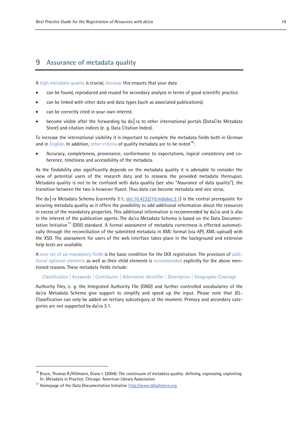# <span id="page-20-0"></span>**9 Assurance of metadata quality**

A high metadata quality is crucial, because this ensures that your data

- can be found, reproduced and reused for secondary analysis in terms of good scientific practice.
- can be linked with other data and data types (such as associated publications).
- can be correctly cited in your own interest.
- become visible after the forwarding by da│ra to other international portals (DataCite Metadata Store) and citation indices (e. g. Data Citation Index).

To increase the international visibility it is important to complete the metadata fields both in German and in English. In addition, other criteria of quality metadata are to be noted  $16$ .

• Accuracy, completeness, provenance, conformance to expectations, logical consistency and coherence, timeliness and accessibility of the metadata.

As the findability also significantly depends on the metadata quality it is advisable to consider the view of potential users of the research data and to reassess the provided metadata thereupon. Metadata quality is not to be confused with data quality (see also ["Assurance of data quality"](#page-19-0)), the transition between the two is however fluent. Thus data can become metadata and vice versa.

The da│ra Metadata Schema (currently 3.1; [doi:10.4232/10.mdsdoc.3.1\)](http://doi.org/10.4232/10.mdsdoc.3.1) is the central prerequisite for securing metadata quality as it offers the possibility to add additional information about the resources in excess of the mandatory properties. This additional information is recommended by da  $|ra|$  and is also in the interest of the publication agents. The da|ra Metadata Schema is based on the Data Documen-tation Initiative<sup>[17](#page-20-2)</sup> (DDI) standard. A formal assessment of metadata correctness is effected automatically through the reconciliation of the submitted metadata in XML format (via API, XML-upload) with the XSD. The assessment for users of the web interface takes place in the background and extensive help texts are available.

A core set of six mandatory fields is the basic condition for the DOI registration. The provision of additional optional elements as well as their child elements is recommended explicitly for the above mentioned reasons. These metadata fields include:

Classification | Keywords | Contributor | Alternative Identifier | Description | Geographic Coverage

Authority files, e. g. the Integrated Authority File (GND) and further controlled vocabularies of the da|ra Metadata Schema give support to simplify and speed up the input. Please note that JEL-Classification can only be added on tertiary subcategory at the moment. Primary and secondary categories are not supported by da|ra 3.1.

L

<span id="page-20-1"></span><sup>&</sup>lt;sup>16</sup> Bruce, Thomas R./Hillmann, Diane I. (2004): The continuum of metadata quality: defining, expressing, exploiting. In: Metadata in Practice. Chicago: American Library Association.

<span id="page-20-2"></span><sup>&</sup>lt;sup>17</sup> Homepage of the Data Documentation Initiative [http://www.ddialliance.org](http://www.ddialliance.org/)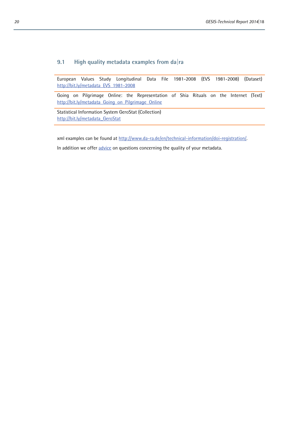### <span id="page-21-0"></span>**9.1 High quality metadata examples from da|ra**

European Values Study Longitudinal Data File 1981-2008 (EVS 1981-2008) (Dataset) [http://bit.ly/metadata\\_EVS\\_1981-2008](http://bit.ly/metadata_EVS_1981-2008)

Going on Pilgrimage Online: the Representation of Shia Rituals on the Internet (Text) http://bit.ly/metadata Going on Pilgrimage Online

Statistical Information System GeroStat (Collection) http://bit.ly/metadata GeroStat

xml examples can be found at [http://www.da-ra.de/en/technical-information/doi-registration/.](http://www.da-ra.de/en/technical-information/doi-registration/)

In addition we offe[r advice](http://www.da-ra.de/en/contact/) on questions concerning the quality of your metadata.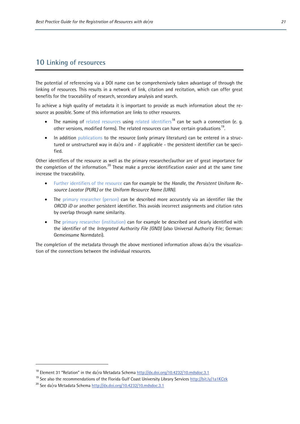# <span id="page-22-0"></span>**10 Linking of resources**

The potential of referencing via a DOI name can be comprehensively taken advantage of through the linking of resources. This results in a network of link, citation and recitation, which can offer great benefits for the traceability of research, secondary analysis and search.

To achieve a high quality of metadata it is important to provide as much information about the resource as possible. Some of this information are links to other resources.

- The naming of related resources using related identifiers<sup>[18](#page-22-1)</sup> can be such a connection (e. g. other versions, modified forms). The related resources can have certain graduations<sup>[19](#page-22-2)</sup>.
- In addition publications to the resource (only primary literature) can be entered in a structured or unstructured way in da|ra and  $-$  if applicable  $-$  the persistent identifier can be specified.

Other identifiers of the resource as well as the primary researcher/author are of great importance for the completion of the information.[20](#page-22-3) These make a precise identification easier and at the same time increase the traceability.

- Further identifiers of the resource can for example be the *Handle*, the *Persistent Uniform Resource Locator (PURL)* or the *Uniform Resource Name (URN)*.
- The primary researcher (person) can be described more accurately via an identifier like the *ORCID iD* or another persistent identifier. This avoids incorrect assignments and citation rates by overlap through name similarity.
- The primary researcher (institution) can for example be described and clearly identified with the identifier of the *Integrated Authority File (GND)* (also Universal Authority File; German: Gemeinsame Normdatei).

The completion of the metadata through the above mentioned information allows da|ra the visualization of the connections between the individual resources.

 $\overline{a}$ 

<span id="page-22-1"></span><sup>&</sup>lt;sup>18</sup> Element 31 "Relation" in the da|ra Metadata Schem[a http://dx.doi.org/10.4232/10.mdsdoc.3.1](http://dx.doi.org/10.4232/10.mdsdoc.3.1)

<span id="page-22-2"></span><sup>&</sup>lt;sup>19</sup> See also the recommendations of the Florida Gulf Coast University Library Services <http://bit.ly/1a1KCek>

<span id="page-22-3"></span><sup>&</sup>lt;sup>20</sup> See da|ra Metadata Schema<http://dx.doi.org/10.4232/10.mdsdoc.3.1>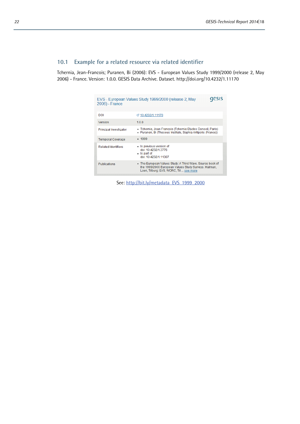# <span id="page-23-0"></span>**10.1 Example for a related resource via related identifier**

Tchernia, Jean-Francois; Puranen, Bi (2006): EVS - European Values Study 1999/2000 (release 2, May 2006) - France. Version: 1.0.0. GESIS Data Archive. Dataset. http://doi.org/10.4232/1.11170

| EVS - European Values Study 1999/2000 (release 2, May<br>2006) - France |                                                                                                                                                              |  |  |
|-------------------------------------------------------------------------|--------------------------------------------------------------------------------------------------------------------------------------------------------------|--|--|
| DOI                                                                     | ₫ 10.4232/1.11170                                                                                                                                            |  |  |
| Version                                                                 | 1.0.0                                                                                                                                                        |  |  |
| Principal Investigator                                                  | • Tchernia, Jean-Francois (Tchernia Etudes Conseil, Paris)<br>• Puranen, Bi (Theseus Institute, Sophia Antipolis (France))                                   |  |  |
| <b>Temporal Coverage</b>                                                | $-1999$                                                                                                                                                      |  |  |
| <b>Related Identifiers</b>                                              | · Is previous version of<br>doi: 10 4232/1 3776<br>• Is part of<br>doi: 10.4232/1.11307                                                                      |  |  |
| <b>Publications</b>                                                     | • The European Values Study: A Third Wave, Source book of<br>the 1999/2000 European Values Study Surveys. Halman,<br>Loek, Tilburg: EVS, WORC, Til  see more |  |  |

See: http://bit.ly/metadata\_EVS\_1999\_2000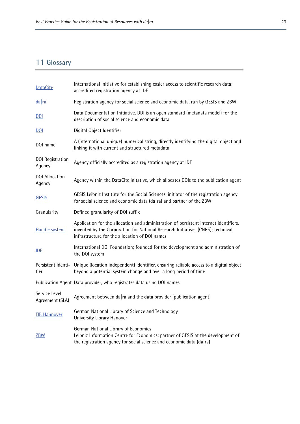# <span id="page-24-0"></span>**11 Glossary**

| <b>DataCite</b>                   | International initiative for establishing easier access to scientific research data;<br>accredited registration agency at IDF                                                                                              |
|-----------------------------------|----------------------------------------------------------------------------------------------------------------------------------------------------------------------------------------------------------------------------|
| $da$ ra                           | Registration agency for social science and economic data, run by GESIS and ZBW                                                                                                                                             |
| DDI                               | Data Documentation Initiative, DDI is an open standard (metadata model) for the<br>description of social science and economic data                                                                                         |
| $\underline{DOL}$                 | Digital Object Identifier                                                                                                                                                                                                  |
| DOI name                          | A (international unique) numerical string, directly identifying the digital object and<br>linking it with current and structured metadata                                                                                  |
| <b>DOI Registration</b><br>Agency | Agency officially accredited as a registration agency at IDF                                                                                                                                                               |
| <b>DOI</b> Allocation<br>Agency   | Agency within the DataCite initative, which allocates DOIs to the publication agent                                                                                                                                        |
| <b>GESIS</b>                      | GESIS Leibniz Institute for the Social Sciences, initiator of the registration agency<br>for social science and economic data (da ra) and partner of the ZBW                                                               |
| Granularity                       | Defined granularity of DOI suffix                                                                                                                                                                                          |
| <b>Handle system</b>              | Application for the allocation and administration of persistent internet identifiers,<br>invented by the Corporation for National Research Initiatives (CNRS); technical<br>infrastructure for the allocation of DOI names |
| IDF                               | International DOI Foundation; founded for the development and administration of<br>the DOI system                                                                                                                          |
| fier                              | Persistent Identi- Unique (location independent) identifier, ensuring reliable access to a digital object<br>beyond a potential system change and over a long period of time                                               |
|                                   | Publication Agent Data provider, who registrates data using DOI names                                                                                                                                                      |
| Service Level<br>Agreement (SLA)  | Agreement between da $ra$ and the data provider (publication agent)                                                                                                                                                        |
| <b>TIB Hannover</b>               | German National Library of Science and Technology<br>University Library Hanover                                                                                                                                            |
| <b>ZBW</b>                        | German National Library of Economics<br>Leibniz Information Centre for Economics; partner of GESIS at the development of<br>the registration agency for social science and economic data (da ra)                           |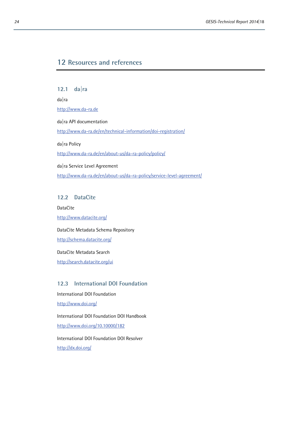# <span id="page-25-0"></span>**12 Resources and references**

<span id="page-25-1"></span>**12.1 da|ra** da|ra [http://www.da-ra.de](http://www.da-ra.de/) da|ra API documentation <http://www.da-ra.de/en/technical-information/doi-registration/> da|ra Policy <http://www.da-ra.de/en/about-us/da-ra-policy/policy/> da|ra Service Level Agreement <http://www.da-ra.de/en/about-us/da-ra-policy/service-level-agreement/>

#### <span id="page-25-2"></span>**12.2 DataCite**

DataCite <http://www.datacite.org/> DataCite Metadata Schema Repository <http://schema.datacite.org/> DataCite Metadata Search

<span id="page-25-3"></span><http://search.datacite.org/ui>

# **12.3 International DOI Foundation**

International DOI Foundation

<http://www.doi.org/>

International DOI Foundation DOI Handbook <http://www.doi.org/10.10000/182>

International DOI Foundation DOI Resolver <http://dx.doi.org/>